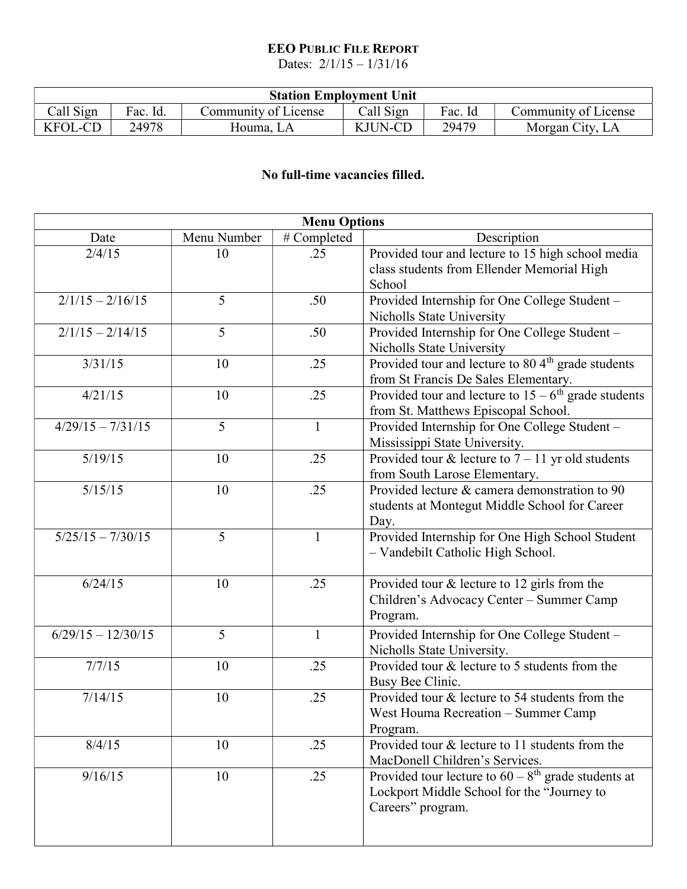## EEO PUBLIC FILE REPORT

Dates:  $2/1/15 - 1/31/16$ 

| <b>Station Employment Unit</b> |          |                      |                |         |                      |  |  |  |
|--------------------------------|----------|----------------------|----------------|---------|----------------------|--|--|--|
| Call Sign                      | Fac. Id. | Community of License | Call Sign      | Fac. Id | Community of License |  |  |  |
| <b>KFOL-CD</b>                 | 24978    | Houma. LA            | <b>KJUN-CD</b> | 29479   | Morgan City, LA      |  |  |  |

## No full-time vacancies filled.

| <b>Menu Options</b>  |                |              |                                                                                                                                      |  |  |  |  |
|----------------------|----------------|--------------|--------------------------------------------------------------------------------------------------------------------------------------|--|--|--|--|
| Date                 | Menu Number    | # Completed  | Description                                                                                                                          |  |  |  |  |
| 2/4/15               | 10             | .25          | Provided tour and lecture to 15 high school media<br>class students from Ellender Memorial High<br>School                            |  |  |  |  |
| $2/1/15 - 2/16/15$   | 5              | .50          | Provided Internship for One College Student -<br>Nicholls State University                                                           |  |  |  |  |
| $2/1/15 - 2/14/15$   | 5              | .50          | Provided Internship for One College Student -<br>Nicholls State University                                                           |  |  |  |  |
| 3/31/15              | 10             | .25          | Provided tour and lecture to 80 4 <sup>th</sup> grade students<br>from St Francis De Sales Elementary.                               |  |  |  |  |
| 4/21/15              | 10             | .25          | Provided tour and lecture to $15 - 6$ <sup>th</sup> grade students<br>from St. Matthews Episcopal School.                            |  |  |  |  |
| $4/29/15 - 7/31/15$  | 5              | $\mathbf{1}$ | Provided Internship for One College Student -<br>Mississippi State University.                                                       |  |  |  |  |
| 5/19/15              | 10             | .25          | Provided tour & lecture to $7 - 11$ yr old students<br>from South Larose Elementary.                                                 |  |  |  |  |
| 5/15/15              | 10             | .25          | Provided lecture & camera demonstration to 90<br>students at Montegut Middle School for Career<br>Day.                               |  |  |  |  |
| $5/25/15 - 7/30/15$  | $\overline{5}$ | $\mathbf{1}$ | Provided Internship for One High School Student<br>- Vandebilt Catholic High School.                                                 |  |  |  |  |
| 6/24/15              | 10             | .25          | Provided tour & lecture to 12 girls from the<br>Children's Advocacy Center - Summer Camp<br>Program.                                 |  |  |  |  |
| $6/29/15 - 12/30/15$ | 5              | $\mathbf{1}$ | Provided Internship for One College Student -<br>Nicholls State University.                                                          |  |  |  |  |
| 7/7/15               | 10             | .25          | Provided tour & lecture to 5 students from the<br>Busy Bee Clinic.                                                                   |  |  |  |  |
| 7/14/15              | 10             | .25          | Provided tour & lecture to 54 students from the<br>West Houma Recreation – Summer Camp<br>Program.                                   |  |  |  |  |
| 8/4/15               | 10             | .25          | Provided tour & lecture to 11 students from the<br>MacDonell Children's Services.                                                    |  |  |  |  |
| 9/16/15              | 10             | .25          | Provided tour lecture to $60 - 8$ <sup>th</sup> grade students at<br>Lockport Middle School for the "Journey to<br>Careers" program. |  |  |  |  |